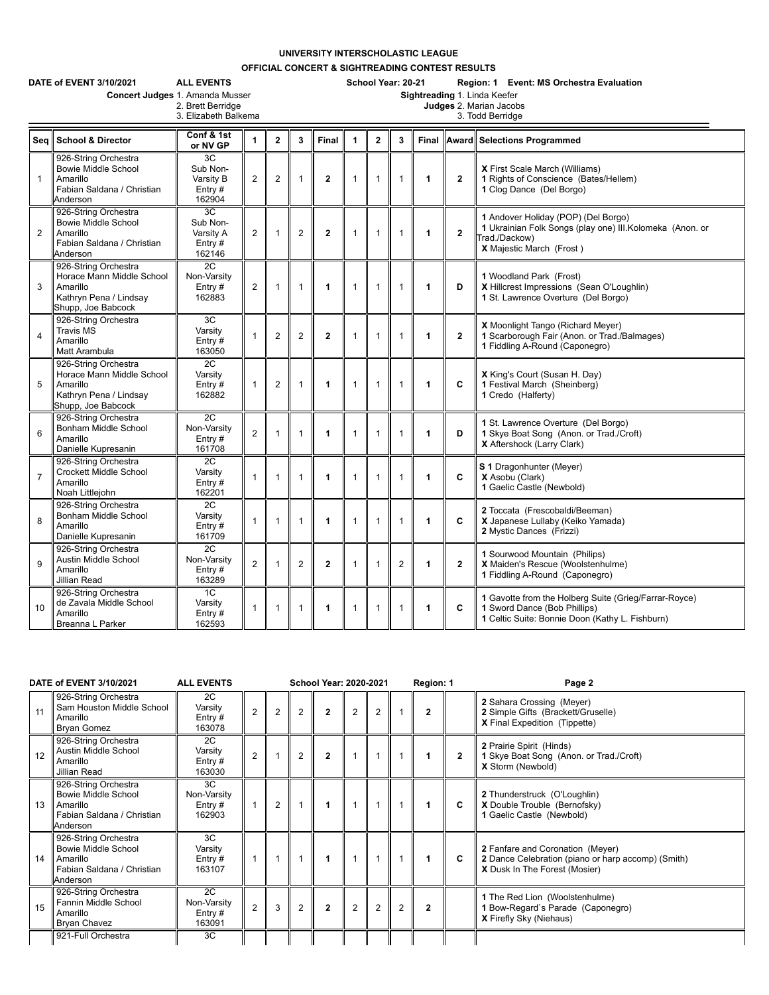## **UNIVERSITY INTERSCHOLASTIC LEAGUE**

**OFFICIAL CONCERT & SIGHTREADING CONTEST RESULTS**

| <b>ALL EVENTS</b><br>DATE of EVENT 3/10/2021<br>School Year: 20-21<br>Region: 1 Event: MS Orchestra Evaluation<br>Sightreading 1. Linda Keefer<br>Concert Judges 1. Amanda Musser<br>2. Brett Berridge<br>Judges 2. Marian Jacobs<br>3. Elizabeth Balkema<br>3. Todd Berridge |                                                                                                               |                                                    |                |                |                |                |                      |                |              |              |                         |                                                                                                                                              |  |  |
|-------------------------------------------------------------------------------------------------------------------------------------------------------------------------------------------------------------------------------------------------------------------------------|---------------------------------------------------------------------------------------------------------------|----------------------------------------------------|----------------|----------------|----------------|----------------|----------------------|----------------|--------------|--------------|-------------------------|----------------------------------------------------------------------------------------------------------------------------------------------|--|--|
| Seq                                                                                                                                                                                                                                                                           | <b>School &amp; Director</b>                                                                                  | Conf & 1st<br>or NV GP                             | $\mathbf{1}$   | $\mathbf{2}$   | 3              | Final          | $\blacktriangleleft$ | $\overline{2}$ | 3            |              |                         | Final Award Selections Programmed                                                                                                            |  |  |
| $\mathbf{1}$                                                                                                                                                                                                                                                                  | 926-String Orchestra<br><b>Bowie Middle School</b><br>Amarillo<br>Fabian Saldana / Christian<br>Anderson      | 3C<br>Sub Non-<br>Varsity B<br>Entry $#$<br>162904 | $\overline{2}$ | $\overline{2}$ | $\mathbf{1}$   | $\overline{2}$ | $\mathbf{1}$         | $\mathbf{1}$   | $\mathbf 1$  | 1            | $\mathbf{2}$            | X First Scale March (Williams)<br>1 Rights of Conscience (Bates/Hellem)<br>1 Clog Dance (Del Borgo)                                          |  |  |
| $\overline{2}$                                                                                                                                                                                                                                                                | 926-String Orchestra<br><b>Bowie Middle School</b><br>Amarillo<br>Fabian Saldana / Christian<br>Anderson      | 3C<br>Sub Non-<br>Varsity A<br>Entry $#$<br>162146 | $\overline{2}$ | $\mathbf{1}$   | $\overline{2}$ | $\mathbf{2}$   | $\mathbf{1}$         | $\mathbf{1}$   | 1            | 1            | $\mathbf{2}$            | 1 Andover Holiday (POP) (Del Borgo)<br>1 Ukrainian Folk Songs (play one) III.Kolomeka (Anon. or<br>Trad./Dackow)<br>X Majestic March (Frost) |  |  |
| 3                                                                                                                                                                                                                                                                             | 926-String Orchestra<br>Horace Mann Middle School<br>Amarillo<br>Kathryn Pena / Lindsay<br>Shupp, Joe Babcock | 2C<br>Non-Varsity<br>Entry#<br>162883              | $\overline{2}$ | $\mathbf{1}$   | $\mathbf{1}$   | 1              | $\mathbf{1}$         | $\mathbf{1}$   | $\mathbf{1}$ | $\mathbf{1}$ | D                       | 1 Woodland Park (Frost)<br>X Hillcrest Impressions (Sean O'Loughlin)<br>1 St. Lawrence Overture (Del Borgo)                                  |  |  |
| $\overline{4}$                                                                                                                                                                                                                                                                | 926-String Orchestra<br><b>Travis MS</b><br>Amarillo<br>Matt Arambula                                         | 3C<br>Varsity<br>Entry $#$<br>163050               |                | $\overline{2}$ | $\overline{2}$ | $\mathbf{2}$   | $\mathbf{1}$         | $\mathbf{1}$   | 1            | $\mathbf{1}$ | $\mathbf{2}$            | X Moonlight Tango (Richard Meyer)<br>1 Scarborough Fair (Anon. or Trad./Balmages)<br>1 Fiddling A-Round (Caponegro)                          |  |  |
| 5                                                                                                                                                                                                                                                                             | 926-String Orchestra<br>Horace Mann Middle School<br>Amarillo<br>Kathryn Pena / Lindsay<br>Shupp, Joe Babcock | 2C<br>Varsity<br>Entry#<br>162882                  | $\mathbf{1}$   | $\overline{2}$ | $\mathbf{1}$   | 1              | $\mathbf{1}$         | $\mathbf{1}$   | 1            | 1            | C                       | X King's Court (Susan H. Day)<br>1 Festival March (Sheinberg)<br>1 Credo (Halferty)                                                          |  |  |
| 6                                                                                                                                                                                                                                                                             | 926-String Orchestra<br>Bonham Middle School<br>Amarillo<br>Danielle Kupresanin                               | $\overline{2C}$<br>Non-Varsity<br>Entry#<br>161708 | $\overline{2}$ | -1             | 1              | 1              | $\mathbf{1}$         | $\mathbf{1}$   | 1            | 1            | D                       | 1 St. Lawrence Overture (Del Borgo)<br>1 Skye Boat Song (Anon. or Trad./Croft)<br>X Aftershock (Larry Clark)                                 |  |  |
| $\overline{7}$                                                                                                                                                                                                                                                                | 926-String Orchestra<br>Crockett Middle School<br>Amarillo<br>Noah Littlejohn                                 | 2C<br>Varsity<br>Entry $#$<br>162201               |                | 1              | 1              | 1              | $\mathbf{1}$         | $\mathbf{1}$   |              | 1            | C                       | S 1 Dragonhunter (Meyer)<br>X Asobu (Clark)<br>1 Gaelic Castle (Newbold)                                                                     |  |  |
| 8                                                                                                                                                                                                                                                                             | 926-String Orchestra<br>Bonham Middle School<br>Amarillo<br>Danielle Kupresanin                               | 2C<br>Varsity<br>Entry#<br>161709                  | 1              | $\mathbf{1}$   | $\mathbf{1}$   | 1              | $\mathbf{1}$         | $\mathbf{1}$   | 1            | 1            | C                       | 2 Toccata (Frescobaldi/Beeman)<br>X Japanese Lullaby (Keiko Yamada)<br>2 Mystic Dances (Frizzi)                                              |  |  |
| 9                                                                                                                                                                                                                                                                             | 926-String Orchestra<br><b>Austin Middle School</b><br>Amarillo<br>Jillian Read                               | 2C<br>Non-Varsity<br>Entry#<br>163289              | $\overline{2}$ | $\mathbf{1}$   | $\overline{2}$ | $\mathbf{2}$   | $\mathbf{1}$         | $\mathbf{1}$   | $\mathbf{2}$ | $\mathbf{1}$ | $\overline{\mathbf{2}}$ | 1 Sourwood Mountain (Philips)<br>X Maiden's Rescue (Woolstenhulme)<br>1 Fiddling A-Round (Caponegro)                                         |  |  |
| 10                                                                                                                                                                                                                                                                            | 926-String Orchestra<br>de Zavala Middle School<br>Amarillo<br>Breanna L Parker                               | 1C<br>Varsity<br>Entry#<br>162593                  | $\mathbf{1}$   | $\mathbf{1}$   | $\mathbf{1}$   | 1              | $\mathbf{1}$         | $\mathbf{1}$   | 1            | 1            | C                       | 1 Gavotte from the Holberg Suite (Grieg/Farrar-Royce)<br>1 Sword Dance (Bob Phillips)<br>1 Celtic Suite: Bonnie Doon (Kathy L. Fishburn)     |  |  |

|    | DATE of EVENT 3/10/2021                                                                                  | <b>ALL EVENTS</b>                        | <b>School Year: 2020-2021</b> |                |                |              |                |   |                | Region: 1      |              | Page 2                                                                                                                         |  |  |
|----|----------------------------------------------------------------------------------------------------------|------------------------------------------|-------------------------------|----------------|----------------|--------------|----------------|---|----------------|----------------|--------------|--------------------------------------------------------------------------------------------------------------------------------|--|--|
| 11 | 926-String Orchestra<br>Sam Houston Middle School<br>Amarillo<br><b>Bryan Gomez</b>                      | 2C<br>Varsity<br>Entry $#$<br>163078     | $\overline{2}$                | $\overline{2}$ | 2              | $\mathbf{2}$ | $\overline{2}$ | 2 |                |                |              | 2 Sahara Crossing (Meyer)<br>2 Simple Gifts (Brackett/Gruselle)<br><b>X</b> Final Expedition (Tippette)                        |  |  |
| 12 | 926-String Orchestra<br>Austin Middle School<br>Amarillo<br>Jillian Read                                 | 2C<br>Varsity<br>Entry $#$<br>163030     | 2                             |                | $\overline{2}$ | $\mathbf{2}$ |                |   |                |                | $\mathbf{2}$ | 2 Prairie Spirit (Hinds)<br>1 Skye Boat Song (Anon. or Trad./Croft)<br><b>X</b> Storm (Newbold)                                |  |  |
| 13 | 926-String Orchestra<br>Bowie Middle School<br>Amarillo<br>Fabian Saldana / Christian<br>Anderson        | 3C<br>Non-Varsity<br>Entry $#$<br>162903 |                               | $\overline{2}$ |                |              |                |   |                |                | C            | 2 Thunderstruck (O'Loughlin)<br>X Double Trouble (Bernofsky)<br>1 Gaelic Castle (Newbold)                                      |  |  |
| 14 | 926-String Orchestra<br><b>Bowie Middle School</b><br>Amarillo<br>Fabian Saldana / Christian<br>Anderson | 3C<br>Varsity<br>Entry $#$<br>163107     |                               |                |                |              |                |   |                |                | C            | <b>2</b> Fanfare and Coronation (Meyer)<br>2 Dance Celebration (piano or harp accomp) (Smith)<br>X Dusk In The Forest (Mosier) |  |  |
| 15 | 926-String Orchestra<br>Fannin Middle School<br>Amarillo<br><b>Bryan Chavez</b>                          | 2C<br>Non-Varsity<br>Entry $#$<br>163091 | $\overline{2}$                | 3              | 2              | $\mathbf{2}$ | $\overline{2}$ | 2 | $\overline{2}$ | $\overline{2}$ |              | 1 The Red Lion (Woolstenhulme)<br>1 Bow-Regard's Parade (Caponegro)<br><b>X</b> Firefly Sky (Niehaus)                          |  |  |
|    | 921-Full Orchestra                                                                                       | 3C                                       |                               |                |                |              |                |   |                |                |              |                                                                                                                                |  |  |